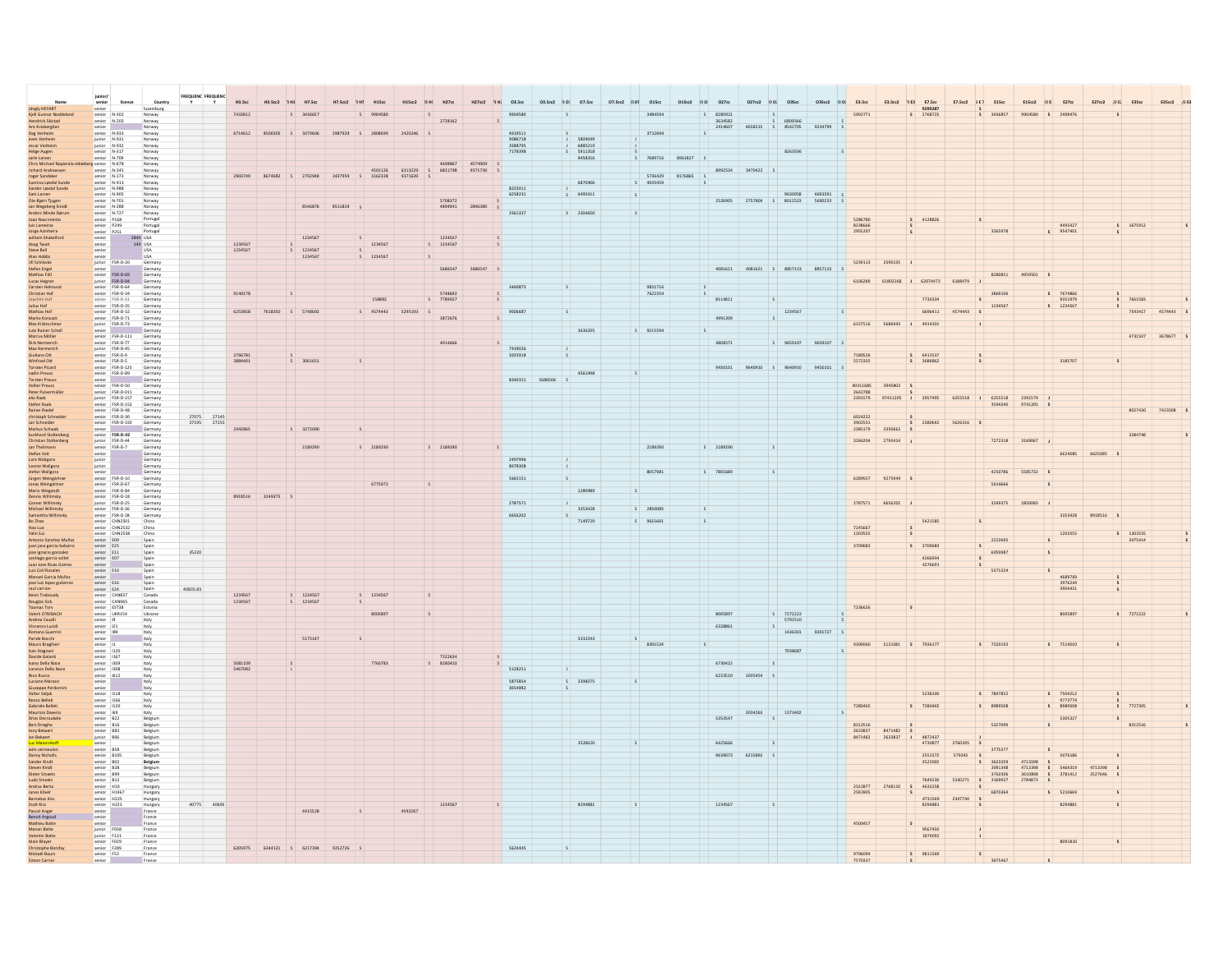| Jängly HEYART                                                                                                                                                             | senior lice<br>senior<br>senior N-302<br>senior N-203                                                                                        |                                                                                                                                                                                                                                                                             | Country<br>luxemburg                       | Y        |             | H3.5cc             | H3.5cc2 | H7.5cc                     | H7.5cc2<br><b>UHD</b> | <b>H15</b> C  | H15cc2             |                                             | H27cc2<br>/1H | 03.5cc             | 03.5cc2 / 10: 07.5cc |                    | 07.5cc2 / 107 015cc |            | 015cc2 /J 0! 027cc | 027cc2 /J 02 035cc         |                          |                                                           |                    | 035cc2 /J 01 E3.5cc   E3.5cc2 /J E3   E7.5cc | 9299287                                      | E7.5cc2 /JE1 E15cc |                    |                    | E15cc2 /JEI E27cc                       | E27cc2 /JE2 | E35cc                  | E35cc2 /JE |  |
|---------------------------------------------------------------------------------------------------------------------------------------------------------------------------|----------------------------------------------------------------------------------------------------------------------------------------------|-----------------------------------------------------------------------------------------------------------------------------------------------------------------------------------------------------------------------------------------------------------------------------|--------------------------------------------|----------|-------------|--------------------|---------|----------------------------|-----------------------|---------------|--------------------|---------------------------------------------|---------------|--------------------|----------------------|--------------------|---------------------|------------|--------------------|----------------------------|--------------------------|-----------------------------------------------------------|--------------------|----------------------------------------------|----------------------------------------------|--------------------|--------------------|--------------------|-----------------------------------------|-------------|------------------------|------------|--|
| Kjell Gunnar Nodi<br>Hendrick Skistad                                                                                                                                     |                                                                                                                                              |                                                                                                                                                                                                                                                                             | Norway<br>Norway                           |          |             | 7433812            |         |                            |                       |               |                    |                                             |               |                    |                      |                    | 3484594             |            | 8280921<br>3634582 |                            | 6809366                  |                                                           | 5992771            |                                              | 5 2768725                                    |                    | 3436857            |                    |                                         |             |                        |            |  |
|                                                                                                                                                                           |                                                                                                                                              |                                                                                                                                                                                                                                                                             | Norway                                     |          |             |                    |         |                            |                       |               |                    |                                             |               |                    |                      |                    |                     |            | 2414607            | 4658215 \$ 8542705         |                          | 9234799                                                   |                    |                                              |                                              |                    |                    |                    |                                         |             |                        |            |  |
| Are Kvisberglien<br>Dag Venheim                                                                                                                                           | senior<br>senior N-933<br>junior N-932<br>senior N-317<br>senior N-317                                                                       |                                                                                                                                                                                                                                                                             | Norway                                     |          |             | 6714612            | 8500305 | 3079606                    | 2987929               | \$ 2808699    | 2420246            |                                             |               | 4019511            |                      | 5809049            | 3712694             |            |                    |                            |                          |                                                           |                    |                                              |                                              |                    |                    |                    |                                         |             |                        |            |  |
| even Venheim<br>oscar Venheim                                                                                                                                             |                                                                                                                                              |                                                                                                                                                                                                                                                                             | Norway<br>Norway<br>Norway                 |          |             |                    |         |                            |                       |               |                    |                                             |               | 9086718<br>3588795 |                      | 6885219            |                     |            |                    |                            |                          |                                                           |                    |                                              |                                              |                    |                    |                    |                                         |             |                        |            |  |
| Ielge Augen                                                                                                                                                               |                                                                                                                                              |                                                                                                                                                                                                                                                                             |                                            |          |             |                    |         |                            |                       |               |                    |                                             |               | 7178398            |                      | 5911318<br>9458316 | S 7689716 8961827 S |            |                    |                            | 8263506                  |                                                           |                    |                                              |                                              |                    |                    |                    |                                         |             |                        |            |  |
| Jarle Larsen<br>Chris Michael Na                                                                                                                                          | senior N-709<br>senior N-245<br>senior N-245<br>senior N-173<br>senior N-913<br>junior N-985<br>senior N-905<br>senior N-905                 |                                                                                                                                                                                                                                                                             | Norway<br>Norway                           |          |             |                    |         |                            |                       |               |                    | 4698867                                     | 4574909       |                    |                      |                    |                     |            |                    |                            |                          |                                                           |                    |                                              |                                              |                    |                    |                    |                                         |             |                        |            |  |
| richard Andreasse<br>roger Sandaker                                                                                                                                       |                                                                                                                                              |                                                                                                                                                                                                                                                                             | Norway<br>Norway                           |          |             | 2903749            |         | 8674682 S 2792948          | 2437959 S 3162338     | 4501126       | 6313229<br>9371639 | 6821798<br>S                                | 9571730       |                    |                      |                    | 5736429             | 8176865 \$ |                    | 8992534 3470422 \$         |                          |                                                           |                    |                                              |                                              |                    |                    |                    |                                         |             |                        |            |  |
| sunniva Løvdal Sun<br>Sander Løvdal Sund<br>Sander Løvdal Sund                                                                                                            |                                                                                                                                              |                                                                                                                                                                                                                                                                             |                                            |          |             |                    |         |                            |                       |               |                    |                                             |               |                    |                      | 6870406            | \$4935459           |            |                    |                            |                          |                                                           |                    |                                              |                                              |                    |                    |                    |                                         |             |                        |            |  |
| Sam Larsen                                                                                                                                                                |                                                                                                                                              |                                                                                                                                                                                                                                                                             | Norway<br>Norway<br>Norway                 |          |             |                    |         |                            |                       |               |                    |                                             |               | 8225011<br>6258231 | $\mathsf{s}$         | 6495411            | $\mathsf{s}$        |            |                    |                            | 9630958                  | 4693591                                                   |                    |                                              |                                              |                    |                    |                    |                                         |             |                        |            |  |
| Ole-Bjørn Tjugen<br>Jan Wegeberg Smid                                                                                                                                     | senior N-701<br>senior N-288                                                                                                                 |                                                                                                                                                                                                                                                                             | Norway<br>Norway                           |          |             |                    |         |                            |                       |               |                    | 5708372<br>4894941                          |               |                    |                      |                    |                     |            |                    | 2526905 2757804 \$ 8012523 |                          | 5690233                                                   |                    |                                              |                                              |                    |                    |                    |                                         |             |                        |            |  |
|                                                                                                                                                                           |                                                                                                                                              |                                                                                                                                                                                                                                                                             |                                            |          |             |                    |         | 8546876                    | 8511819               |               |                    |                                             | 2896380       | 2561337            |                      | \$ 2304650         | $\sim$              |            |                    |                            |                          |                                                           |                    |                                              |                                              |                    |                    |                    |                                         |             |                        |            |  |
| <b>Anders Minde Darun</b><br>Joao Nascimento                                                                                                                              | senior N-727<br>senior P168                                                                                                                  |                                                                                                                                                                                                                                                                             | Norway<br>Portugal<br>Portugal<br>Portugal |          |             |                    |         |                            |                       |               |                    |                                             |               |                    |                      |                    |                     |            |                    |                            |                          |                                                           | 5286780            |                                              | 4128826                                      |                    |                    |                    |                                         |             |                        |            |  |
| luis Lameiras<br>Jorge Azinheira<br>william Shakelford<br>doug Twait                                                                                                      |                                                                                                                                              | senior P188<br>senior P251<br>senior P251<br>senior P251<br>senior P251<br>senior P360-20<br>senior F58-0-80<br>senior F58-0-84<br>senior F58-0-84<br>senior F58-0-84<br>senior F58-0-84<br>senior F58-0-84<br>senior F58-0-84<br>senior F58-0-84<br>senior F58-0-84<br>sen |                                            |          |             |                    |         |                            |                       |               |                    |                                             |               |                    |                      |                    |                     |            |                    |                            |                          |                                                           | 8238666<br>2955207 |                                              |                                              |                    | 3265978            |                    | 9495427<br>9547401                      |             | $S$ 1675912            |            |  |
|                                                                                                                                                                           |                                                                                                                                              |                                                                                                                                                                                                                                                                             | 1844 USA<br>144 USA                        |          |             |                    |         | 1234567                    |                       |               |                    | $\begin{array}{r} 1234567 \\ 5 \end{array}$ |               |                    |                      |                    |                     |            |                    |                            |                          |                                                           |                    |                                              |                                              |                    |                    |                    |                                         |             |                        |            |  |
| Steve Ball                                                                                                                                                                |                                                                                                                                              |                                                                                                                                                                                                                                                                             | <b>USA</b>                                 |          |             | 1234567<br>1234567 |         | 1234567                    |                       | 1234567       |                    |                                             |               |                    |                      |                    |                     |            |                    |                            |                          |                                                           |                    |                                              |                                              |                    |                    |                    |                                         |             |                        |            |  |
| Alan Hobbs                                                                                                                                                                |                                                                                                                                              |                                                                                                                                                                                                                                                                             | <b>USA</b>                                 |          |             |                    |         | 1234567                    |                       | $5 - 1234567$ |                    | $\overline{\mathbf{S}}$                     |               |                    |                      |                    |                     |            |                    |                            |                          |                                                           |                    |                                              |                                              |                    |                    |                    |                                         |             |                        |            |  |
| Jill Schilsske                                                                                                                                                            |                                                                                                                                              |                                                                                                                                                                                                                                                                             | German                                     |          |             |                    |         |                            |                       |               |                    | 5686547                                     |               |                    |                      |                    |                     |            | 4081621            |                            |                          | $4081621 \qquad 5 \qquad 8857133 \qquad 8857133 \qquad 5$ |                    | 5239113 2590135 J                            |                                              |                    |                    |                    |                                         |             |                        |            |  |
| Stefan Engel<br>Mathias Föll                                                                                                                                              |                                                                                                                                              |                                                                                                                                                                                                                                                                             | Germany<br>Germany                         |          |             |                    |         |                            |                       |               |                    |                                             |               |                    |                      |                    |                     |            |                    |                            |                          |                                                           |                    |                                              |                                              |                    | 8280851            | 4959501 S          |                                         |             |                        |            |  |
| Lucas Hegner<br>Carsten Helmu                                                                                                                                             |                                                                                                                                              |                                                                                                                                                                                                                                                                             | Germany<br>Germany                         |          |             |                    |         |                            |                       |               |                    |                                             |               |                    |                      |                    | 9831716             |            |                    |                            |                          |                                                           |                    |                                              | 6106289 61802268 J 62074473 6188479 J        |                    |                    |                    |                                         |             |                        |            |  |
| Christian Hof                                                                                                                                                             |                                                                                                                                              |                                                                                                                                                                                                                                                                             |                                            |          |             | 9140178            |         |                            |                       |               |                    | 574869                                      |               |                    |                      |                    | 7622354             |            |                    |                            |                          |                                                           |                    |                                              |                                              |                    | 3869106            |                    | S 7674866                               |             |                        |            |  |
| oachim Hof<br>Julius Hof                                                                                                                                                  |                                                                                                                                              |                                                                                                                                                                                                                                                                             | Germany<br>Germany<br>Germany              |          |             |                    |         |                            |                       | 158882        |                    | 778992                                      |               |                    |                      |                    |                     |            | 8114811            |                            |                          |                                                           |                    |                                              | 7730334                                      |                    | 1234567            |                    | 9351979<br>\$ 1234567                   |             | 7661583                |            |  |
| Mathias Hof                                                                                                                                                               |                                                                                                                                              |                                                                                                                                                                                                                                                                             | Germany<br>Germany                         |          |             | 6253858            | 7618350 | S 5748692                  |                       | S 4574443     | 5295193            | $\mathsf{s}$<br>3872676                     |               | 9006687            | s.                   |                    |                     |            | 4991209            |                            | 1234567                  | s                                                         |                    |                                              | 6696411                                      | 4574443 S          |                    |                    |                                         |             | 7543417                | 4574443    |  |
| Marko Konzack<br>Max Krätzschma                                                                                                                                           |                                                                                                                                              | senior FSR-D-32<br>senior FSR-D-71<br>junior FSR-D-73                                                                                                                                                                                                                       | Germany                                    |          |             |                    |         |                            |                       |               |                    |                                             |               |                    |                      |                    |                     |            |                    |                            |                          |                                                           |                    | 6157516 5686943 J 4914301                    |                                              |                    |                    |                    |                                         |             |                        |            |  |
| Lutz Rainer Scholl                                                                                                                                                        | senior                                                                                                                                       |                                                                                                                                                                                                                                                                             | Germany                                    |          |             |                    |         |                            |                       |               |                    |                                             |               |                    |                      | 3636205            | \$9215594           |            |                    |                            |                          |                                                           |                    |                                              |                                              |                    |                    |                    |                                         |             |                        |            |  |
| Marcus Möller<br>Dirk Nermerich                                                                                                                                           |                                                                                                                                              | senior FSR-D-111<br>senior FSR-D-77                                                                                                                                                                                                                                         | Germany<br>Germany                         |          |             |                    |         |                            |                       |               |                    | 4014666                                     | $\mathsf{s}$  |                    |                      |                    |                     |            | 4808571            |                            | \$9659107                | 9659107                                                   |                    |                                              |                                              |                    |                    |                    |                                         |             | 4731507                |            |  |
| Max Nermerich<br>Giuliano Ott<br>Winfried Ott                                                                                                                             |                                                                                                                                              | junior FSR-D-45<br>senior FSR-D-4<br>senior FSR-D-5                                                                                                                                                                                                                         | Germany<br>Germany                         |          |             |                    |         |                            |                       |               |                    |                                             |               | 7919026            |                      |                    |                     |            |                    |                            |                          |                                                           |                    |                                              |                                              |                    |                    |                    |                                         |             |                        |            |  |
|                                                                                                                                                                           |                                                                                                                                              |                                                                                                                                                                                                                                                                             | Germany                                    |          |             | 2766781<br>3884401 |         | $S$ 3061651                |                       |               |                    |                                             |               | 3025918            |                      |                    |                     |            |                    |                            |                          |                                                           | 5572335            |                                              | $S$ 6413537<br>S 3686862                     |                    |                    |                    | 3185707                                 |             |                        |            |  |
| Torsten Picard<br>nadin Preuss                                                                                                                                            |                                                                                                                                              | senior FSR-D-125<br>senior FSR-D-89                                                                                                                                                                                                                                         | Germany<br>Germany                         |          |             |                    |         |                            |                       |               |                    |                                             |               |                    |                      |                    |                     |            | 9450101            |                            | 9640910 \$ 9640910       | 9450101 S                                                 |                    |                                              |                                              |                    |                    |                    |                                         |             |                        |            |  |
| <b>Torsten Preuss</b>                                                                                                                                                     |                                                                                                                                              |                                                                                                                                                                                                                                                                             | Germany                                    |          |             |                    |         |                            |                       |               |                    |                                             |               |                    | 8340321 5686506 S    | 4561498            |                     |            |                    |                            |                          |                                                           |                    |                                              |                                              |                    |                    |                    |                                         |             |                        |            |  |
| Volker Preuss<br>Peter Pulvermüll                                                                                                                                         |                                                                                                                                              | senior<br>senior FSR-D-50<br>senior FSR-D-011<br>junior FSR-D-157                                                                                                                                                                                                           | Germany                                    |          |             |                    |         |                            |                       |               |                    |                                             |               |                    |                      |                    |                     |            |                    |                            |                          |                                                           | 40311685           | 3945803                                      |                                              |                    |                    |                    |                                         |             |                        |            |  |
| elia Raab                                                                                                                                                                 |                                                                                                                                              |                                                                                                                                                                                                                                                                             | Germany<br>Germany                         |          |             |                    |         |                            |                       |               |                    |                                             |               |                    |                      |                    |                     |            |                    |                            |                          |                                                           | 2642788<br>2391579 |                                              | 97411205 J 3957495 6255518 J 6255518 2391579 |                    |                    |                    |                                         |             |                        |            |  |
|                                                                                                                                                                           |                                                                                                                                              |                                                                                                                                                                                                                                                                             | Germany                                    |          |             |                    |         |                            |                       |               |                    |                                             |               |                    |                      |                    |                     |            |                    |                            |                          |                                                           |                    |                                              |                                              |                    | 3594340            | 9741205            |                                         |             |                        |            |  |
|                                                                                                                                                                           |                                                                                                                                              |                                                                                                                                                                                                                                                                             | Germany                                    |          | 27075 27145 |                    |         |                            |                       |               |                    |                                             |               |                    |                      |                    |                     |            |                    |                            |                          |                                                           | 6024222            |                                              |                                              |                    |                    |                    |                                         |             | 8027430                | 7423508    |  |
| elia Raab<br>Stefin Raab<br>Rainer Riedel<br>Christoph Schneide<br>Jan Schneider<br>Markus Schwab<br>Christian Steltenbe<br>Christian Steltenbe<br>Lan Theilman Steltenbe |                                                                                                                                              | unior FSR-D-157<br>senior FSR-D-152<br>senior FSR-D-48<br>senior FSR-D-33<br>senior FSR-D-42<br>senior FSR-D-42<br>junior FSR-D-42<br>junior FSR-D-42<br>junior FSR-D-42                                                                                                    | Germany<br>Germany<br>Germany              |          | 27195 27255 |                    |         |                            | $\mathsf{s}$          |               |                    |                                             |               |                    |                      |                    |                     |            |                    |                            |                          |                                                           | 3902531            | 3350662                                      |                                              | 2380642 5626316 \$ |                    |                    |                                         |             |                        |            |  |
|                                                                                                                                                                           |                                                                                                                                              |                                                                                                                                                                                                                                                                             |                                            |          |             |                    |         | S 3272000                  |                       |               |                    |                                             |               |                    |                      |                    |                     |            |                    |                            |                          |                                                           |                    |                                              |                                              |                    |                    |                    |                                         |             |                        |            |  |
|                                                                                                                                                                           |                                                                                                                                              |                                                                                                                                                                                                                                                                             | Germany<br>Germany                         |          |             |                    |         | 2189290                    |                       |               |                    |                                             |               |                    |                      |                    |                     |            | S 2189290          |                            |                          |                                                           | 3266204            | 2793414                                      |                                              |                    |                    | 7272318 3169067 J  |                                         |             |                        |            |  |
| Jan Theilmann<br>Stefan Veit<br>Lara Waligora                                                                                                                             |                                                                                                                                              | unior FSR-D-44<br> senior<br> unior  <br> unior  <br> senior FSR-D-10<br> senior FSR-D-67<br> senior FSR-D-84<br> senior FSR-D-84<br> senior FSR-D-84                                                                                                                       | Germany<br>Germany<br>Germany              |          |             |                    |         |                            |                       | \$ 2189290    |                    | \$ 2189290                                  |               |                    |                      |                    | 2189290             |            |                    |                            | $\sim$                   |                                                           |                    |                                              |                                              |                    |                    |                    | 6624085                                 | 6625085 S   |                        |            |  |
|                                                                                                                                                                           |                                                                                                                                              |                                                                                                                                                                                                                                                                             |                                            |          |             |                    |         |                            |                       |               |                    |                                             |               | 2497996            |                      |                    |                     |            |                    |                            |                          |                                                           |                    |                                              |                                              |                    |                    |                    |                                         |             |                        |            |  |
| Leonie Waligora<br>stefan Waligora                                                                                                                                        |                                                                                                                                              |                                                                                                                                                                                                                                                                             | Germany<br>Germany                         |          |             |                    |         |                            |                       |               |                    |                                             |               | 8078308            |                      |                    | 8057981             |            | \$7805689          |                            |                          |                                                           |                    |                                              |                                              |                    | 4250786            | 5585732 5          |                                         |             |                        |            |  |
|                                                                                                                                                                           |                                                                                                                                              |                                                                                                                                                                                                                                                                             |                                            |          |             |                    |         |                            |                       | 6775972       |                    |                                             |               | 5665151            | $\vert s \vert$      |                    |                     |            |                    |                            |                          |                                                           | 6289557            | 9275949 S                                    |                                              |                    | 5014666            |                    |                                         |             |                        |            |  |
| Jürgen Weingärtne<br>Jonas Weingärtner<br>Mario Wiegandt<br>Dennis Willimsky                                                                                              |                                                                                                                                              |                                                                                                                                                                                                                                                                             | Germany<br>Germany<br>Germany<br>Germany   |          |             |                    |         |                            |                       |               |                    | $\mathsf{s}$                                |               |                    |                      | 1280989            |                     |            |                    |                            |                          |                                                           |                    |                                              |                                              |                    |                    |                    |                                         |             |                        |            |  |
|                                                                                                                                                                           |                                                                                                                                              |                                                                                                                                                                                                                                                                             |                                            |          |             | 8918516            | 3249375 |                            |                       |               |                    |                                             |               | 2787571            |                      |                    |                     |            |                    |                            |                          |                                                           | 2787571            | 6656202 J                                    |                                              |                    | 3249375            | $2850083$          |                                         |             |                        |            |  |
| <b>Conner Willimsky</b><br>Michael Willimsky                                                                                                                              |                                                                                                                                              | junior FSR-D-25<br>senior FSR-D-36<br>senior FSR-D-28                                                                                                                                                                                                                       | Germany<br>Germany                         |          |             |                    |         |                            |                       |               |                    |                                             |               |                    |                      | 3353428            | \$ 2850083          |            | S                  |                            |                          |                                                           |                    |                                              |                                              |                    |                    |                    |                                         |             |                        |            |  |
| Samantha Willimsk                                                                                                                                                         |                                                                                                                                              |                                                                                                                                                                                                                                                                             | Germany                                    |          |             |                    |         |                            |                       |               |                    |                                             |               | 6656202            | S                    |                    |                     |            |                    |                            |                          |                                                           |                    |                                              |                                              |                    |                    |                    | 3353428                                 | 8918516 S   |                        |            |  |
| Bo Zhao<br>Hao Luo                                                                                                                                                        | senior CHN2501<br>senior CHN2532                                                                                                             |                                                                                                                                                                                                                                                                             | China<br>China                             |          |             |                    |         |                            |                       |               |                    |                                             |               |                    |                      | 7149729            | $S$ 9615601         |            |                    |                            |                          |                                                           | 724566             |                                              | 5421585                                      |                    |                    |                    |                                         |             |                        |            |  |
| Yalin Sui                                                                                                                                                                 |                                                                                                                                              | senior CHN2558<br>senior E09                                                                                                                                                                                                                                                | China<br>Spain                             |          |             |                    |         |                            |                       |               |                    |                                             |               |                    |                      |                    |                     |            |                    |                            |                          |                                                           | 1203555            |                                              |                                              |                    |                    |                    | 1203555                                 |             | $5$ 1203555<br>3475414 |            |  |
| Antonio Sanchez Muño                                                                                                                                                      |                                                                                                                                              |                                                                                                                                                                                                                                                                             |                                            |          |             |                    |         |                            |                       |               |                    |                                             |               |                    |                      |                    |                     |            |                    |                            |                          |                                                           | 3709683            |                                              | \$ 3709683                                   |                    | 2222695            |                    |                                         |             |                        |            |  |
| juan jose garcia balseiro<br>jose ignacio gonzalez<br>santiago garcia sollet                                                                                              | Nemior<br>Semior E11<br>Semior E10<br>Semior E10<br>Semior E16<br>Semior E16<br>Semior E14<br>Semior E14<br>Semior E14                       |                                                                                                                                                                                                                                                                             | Spain<br>Spain<br>Spain                    | 35220    |             |                    |         |                            |                       |               |                    |                                             |               |                    |                      |                    |                     |            |                    |                            |                          |                                                           |                    |                                              | 4266934                                      |                    | 6059987            |                    |                                         |             |                        |            |  |
| Juan Jose Riyas Gome:                                                                                                                                                     |                                                                                                                                              |                                                                                                                                                                                                                                                                             | Spain                                      |          |             |                    |         |                            |                       |               |                    |                                             |               |                    |                      |                    |                     |            |                    |                            |                          |                                                           |                    |                                              | 4276691                                      |                    |                    |                    |                                         |             |                        |            |  |
| Luis Coll Rosalen<br>Manuel García Muñoz                                                                                                                                  |                                                                                                                                              |                                                                                                                                                                                                                                                                             | Spain<br>Spain                             |          |             |                    |         |                            |                       |               |                    |                                             |               |                    |                      |                    |                     |            |                    |                            |                          |                                                           |                    |                                              |                                              |                    | 5371324            |                    | $\sf s$                                 |             |                        |            |  |
| jose luis lopez gutier                                                                                                                                                    |                                                                                                                                              |                                                                                                                                                                                                                                                                             |                                            |          |             |                    |         |                            |                       |               |                    |                                             |               |                    |                      |                    |                     |            |                    |                            |                          |                                                           |                    |                                              |                                              |                    |                    |                    | 4689769                                 |             |                        |            |  |
| raul carrion<br>Kevin Traboualy                                                                                                                                           |                                                                                                                                              |                                                                                                                                                                                                                                                                             | Spain<br>Spain<br>Canada                   | 40835.83 |             |                    |         |                            |                       |               |                    |                                             |               |                    |                      |                    |                     |            |                    |                            |                          |                                                           |                    |                                              |                                              |                    |                    |                    | 3976244<br>3904431                      |             |                        |            |  |
|                                                                                                                                                                           |                                                                                                                                              |                                                                                                                                                                                                                                                                             | Canada                                     |          |             | 1234567<br>1234567 |         | $5 - 1234567$<br>S 1234567 |                       | $5 - 1234567$ |                    |                                             |               |                    |                      |                    |                     |            |                    |                            |                          |                                                           |                    |                                              |                                              |                    |                    |                    |                                         |             |                        |            |  |
| <b>Douglas Sick<br/>Toomas Torv<br/>Valerii OTKIDACH</b>                                                                                                                  | senior CAN965<br>senior EST38                                                                                                                |                                                                                                                                                                                                                                                                             | Estonia<br>Ukraine                         |          |             |                    |         |                            |                       |               |                    |                                             |               |                    |                      |                    |                     |            |                    |                            |                          |                                                           | 7236626            |                                              |                                              |                    |                    |                    |                                         |             |                        |            |  |
|                                                                                                                                                                           | senior UKR154                                                                                                                                |                                                                                                                                                                                                                                                                             |                                            |          |             |                    |         |                            |                       | 8005897       |                    |                                             |               |                    |                      |                    |                     |            | 8005897            |                            | $S = 7272222$<br>5792510 |                                                           |                    |                                              |                                              |                    |                    |                    | 8005897                                 |             | $5 - 7272222$          |            |  |
| Andrea Cavalli<br>Vincenzo Lucidi                                                                                                                                         | $\begin{array}{cc}\n\text{senior} & \mathbf{0} \\ \text{senior} & \mathbf{0}\n\end{array}$                                                   |                                                                                                                                                                                                                                                                             | Italy<br>Italy                             |          |             |                    |         |                            |                       |               |                    |                                             |               |                    |                      |                    |                     |            | 6328861            |                            |                          |                                                           |                    |                                              |                                              |                    |                    |                    |                                         |             |                        |            |  |
| Romano Guerrini                                                                                                                                                           | Semior 89<br>senior 11<br>senior 11<br>senior 1120<br>senior 1567<br>senior 1612<br>senior 1612<br>senior 1118<br>senior 1118<br>senior 1118 |                                                                                                                                                                                                                                                                             | Italy<br>Italy<br>Italy                    |          |             |                    |         | 5175147                    |                       |               |                    |                                             |               |                    |                      | 5332343            |                     |            |                    |                            | 1436301                  | 9391727 S                                                 |                    |                                              |                                              |                    |                    |                    |                                         |             |                        |            |  |
| Paride Bocchi<br>Mauro Braghier                                                                                                                                           |                                                                                                                                              |                                                                                                                                                                                                                                                                             |                                            |          |             |                    |         |                            |                       |               |                    |                                             |               |                    |                      |                    | 8391524             |            |                    |                            |                          |                                                           |                    |                                              | 5121081 S 7936177                            |                    | $S$ 7220193        |                    | $5 - 7514010$                           |             | $\mathsf{s}$           |            |  |
| Ivan Stagnani<br>Davide Galanti                                                                                                                                           |                                                                                                                                              |                                                                                                                                                                                                                                                                             | Italy<br>Italy                             |          |             |                    |         |                            |                       |               |                    | 7322634<br>S 8280410                        |               |                    |                      |                    |                     |            |                    |                            |                          |                                                           |                    |                                              |                                              |                    |                    |                    |                                         |             |                        |            |  |
| Ivano Della Noce                                                                                                                                                          |                                                                                                                                              |                                                                                                                                                                                                                                                                             |                                            |          |             | 5081109<br>5467082 |         |                            |                       | 7760783       |                    |                                             |               | 5128251            | $\mathbf{I}$         |                    |                     |            | 6730422            |                            |                          |                                                           |                    |                                              |                                              |                    |                    |                    |                                         |             |                        |            |  |
| Lorenzo Della Noci                                                                                                                                                        |                                                                                                                                              |                                                                                                                                                                                                                                                                             | Italy<br>Italy<br>Italy<br>Italy           |          |             |                    |         |                            |                       |               |                    |                                             |               |                    |                      |                    |                     |            | 6223510            |                            |                          |                                                           |                    |                                              |                                              |                    |                    |                    |                                         |             |                        |            |  |
| Luciano Marazzi                                                                                                                                                           |                                                                                                                                              |                                                                                                                                                                                                                                                                             |                                            |          |             |                    |         |                            |                       |               |                    |                                             |               | 5875854<br>3054982 |                      | \$2398375          | $\mathsf{s}$        |            |                    |                            |                          |                                                           |                    |                                              |                                              |                    |                    |                    |                                         |             |                        |            |  |
| -<br>Giuseppe Perdo<br>Valter Seljak                                                                                                                                      |                                                                                                                                              |                                                                                                                                                                                                                                                                             | Italy<br>Italy                             |          |             |                    |         |                            |                       |               |                    |                                             |               |                    |                      |                    |                     |            |                    |                            |                          |                                                           |                    |                                              | 5238100                                      |                    | 5 7847852          |                    | S 7504212                               |             |                        |            |  |
| Renzo Belleti                                                                                                                                                             |                                                                                                                                              |                                                                                                                                                                                                                                                                             |                                            |          |             |                    |         |                            |                       |               |                    |                                             |               |                    |                      |                    |                     |            |                    |                            |                          |                                                           |                    |                                              |                                              |                    |                    |                    | 9773774                                 |             | S 7727305              |            |  |
| Gabriele Bellet<br>Maurizio Daverio                                                                                                                                       | senior 1166<br>senior 1120<br>senior 169<br>senior 822<br>senior 816                                                                         |                                                                                                                                                                                                                                                                             | Italy<br>Italy<br>Italy                    |          |             |                    |         |                            |                       |               |                    |                                             |               |                    |                      |                    |                     |            |                    | 3034263                    | 1373402                  |                                                           | 7280465            |                                              | S 7280465                                    |                    | \$ 8989508         |                    | 8989508                                 |             |                        |            |  |
| <b>Dries Decroubel</b>                                                                                                                                                    |                                                                                                                                              |                                                                                                                                                                                                                                                                             | Belgium<br>Belgium                         |          |             |                    |         |                            |                       |               |                    |                                             |               |                    |                      |                    |                     |            | 5353547            |                            |                          |                                                           |                    |                                              |                                              |                    |                    |                    | 5305327                                 |             | $\mathsf{s}$           |            |  |
| <b>Bart Drieghe</b><br>tony Bekaert                                                                                                                                       |                                                                                                                                              |                                                                                                                                                                                                                                                                             |                                            |          |             |                    |         |                            |                       |               |                    |                                             |               |                    |                      |                    |                     |            |                    |                            |                          |                                                           | 8312516<br>2633837 | 8471482                                      | l s                                          |                    | 5327099            |                    |                                         |             | 8312516                |            |  |
|                                                                                                                                                                           | senior 883<br>junior 806<br>senior 858<br>senior 8105<br>senior 802<br>senior 802                                                            |                                                                                                                                                                                                                                                                             | Belgium<br>Belgium<br>Belgium              |          |             |                    |         |                            |                       |               |                    |                                             |               |                    |                      |                    |                     |            |                    |                            |                          |                                                           | 8471482            | 2633837                                      | 4872437                                      |                    |                    |                    |                                         |             |                        |            |  |
| lan Bekaert<br>Luc Maiornikoff<br>wim vermeulen                                                                                                                           |                                                                                                                                              |                                                                                                                                                                                                                                                                             | Belgium                                    |          |             |                    |         |                            |                       |               |                    |                                             |               |                    |                      | 3528620            |                     |            | 6425666            |                            |                          |                                                           |                    |                                              | 4730877                                      | 3760395            | 3775377            |                    | S                                       |             |                        |            |  |
| <b>Danny Nicholls</b><br>Sander Kindt                                                                                                                                     |                                                                                                                                              |                                                                                                                                                                                                                                                                             | Belgium<br>Belgium                         |          |             |                    |         |                            |                       |               |                    |                                             |               |                    |                      |                    |                     |            |                    | 9639073 6215892 S          |                          |                                                           |                    |                                              | 2551572                                      | 579345             |                    |                    | 5076186                                 |             | $\leq$                 |            |  |
| Steven Kindt                                                                                                                                                              | senior B38                                                                                                                                   |                                                                                                                                                                                                                                                                             | Belgium                                    |          |             |                    |         |                            |                       |               |                    |                                             |               |                    |                      |                    |                     |            |                    |                            |                          |                                                           |                    |                                              | 3522002                                      |                    | 3623359<br>3091348 | 4713398<br>4713398 | $\overline{\mathbf{s}}$<br>5464319<br>S | 4713398 S   |                        |            |  |
| Dieter Smeets<br>Ludo Smeets                                                                                                                                              | senior 899<br>senior 812                                                                                                                     |                                                                                                                                                                                                                                                                             | Belgium<br>Belgium                         |          |             |                    |         |                            |                       |               |                    |                                             |               |                    |                      |                    |                     |            |                    |                            |                          |                                                           |                    |                                              |                                              |                    | 3763306<br>3169937 | 3610898            | 3781412                                 | 2527646     |                        |            |  |
|                                                                                                                                                                           |                                                                                                                                              |                                                                                                                                                                                                                                                                             |                                            |          |             |                    |         |                            |                       |               |                    |                                             |               |                    |                      |                    |                     |            |                    |                            |                          |                                                           |                    | 2768110 \$                                   | 7649230<br>4633258                           | 5330271            |                    |                    |                                         |             |                        |            |  |
| Andras Berta<br>Janos Kôvér                                                                                                                                               | senior H10<br>senior H1467<br>senior H225<br>senior H223                                                                                     |                                                                                                                                                                                                                                                                             | Hungary<br>Hungary                         |          |             |                    |         |                            |                       |               |                    |                                             |               |                    |                      |                    |                     |            |                    |                            |                          |                                                           | 2532877<br>2593905 |                                              |                                              |                    | 6870364            |                    | \$ 5210669                              |             |                        |            |  |
| sarnabas Kiss<br>Zsolt Kiss                                                                                                                                               |                                                                                                                                              |                                                                                                                                                                                                                                                                             | Hungary<br>Hungary<br>France               |          | 40775 40695 |                    |         |                            |                       |               |                    | 1234567                                     |               |                    |                      | 8294881            |                     |            | 1234567            |                            |                          |                                                           |                    |                                              | 4731569<br>8294881                           | 2347740            |                    |                    | 8294881                                 |             |                        |            |  |
| ascal Anger                                                                                                                                                               |                                                                                                                                              |                                                                                                                                                                                                                                                                             |                                            |          |             |                    |         |                            |                       |               | 4592267            |                                             |               |                    |                      |                    |                     |            |                    |                            |                          |                                                           |                    |                                              |                                              |                    |                    |                    |                                         |             |                        |            |  |
| Benoit Argoud                                                                                                                                                             |                                                                                                                                              |                                                                                                                                                                                                                                                                             | France<br>France                           |          |             |                    |         |                            |                       |               |                    |                                             |               |                    |                      |                    |                     |            |                    |                            |                          |                                                           | 4500457            |                                              | $\mathsf{s}$                                 |                    |                    |                    |                                         |             |                        |            |  |
| Mathieu Batte<br>Manon Batte                                                                                                                                              | senior<br>senior<br>senior<br>junior F058<br>junior F029<br>senior F289<br>senior F289<br>senior F289                                        |                                                                                                                                                                                                                                                                             | France<br>France                           |          |             |                    |         |                            |                       |               |                    |                                             |               |                    |                      |                    |                     |            |                    |                            |                          |                                                           |                    |                                              | 9567450                                      |                    |                    |                    |                                         |             |                        |            |  |
| alentin Batte                                                                                                                                                             |                                                                                                                                              |                                                                                                                                                                                                                                                                             |                                            |          |             |                    |         |                            |                       |               |                    |                                             |               |                    |                      |                    |                     |            |                    |                            |                          |                                                           |                    |                                              | 1874092                                      |                    |                    |                    | 8091810                                 |             |                        |            |  |
| Alain Blayer<br>Christophe Bonifa <sub>l</sub>                                                                                                                            |                                                                                                                                              |                                                                                                                                                                                                                                                                             | France<br>France                           |          |             |                    | 6344121 | S 6217394                  | 9252726               |               |                    |                                             |               |                    |                      |                    |                     |            |                    |                            |                          |                                                           |                    |                                              |                                              |                    |                    |                    |                                         |             |                        |            |  |
| Mickaël Bouin                                                                                                                                                             | senior F53<br>senior                                                                                                                         |                                                                                                                                                                                                                                                                             | France                                     |          |             |                    |         |                            |                       |               |                    |                                             |               |                    |                      |                    |                     |            |                    |                            |                          |                                                           |                    |                                              | 9811569                                      |                    | S<br>3675467       |                    |                                         |             |                        |            |  |